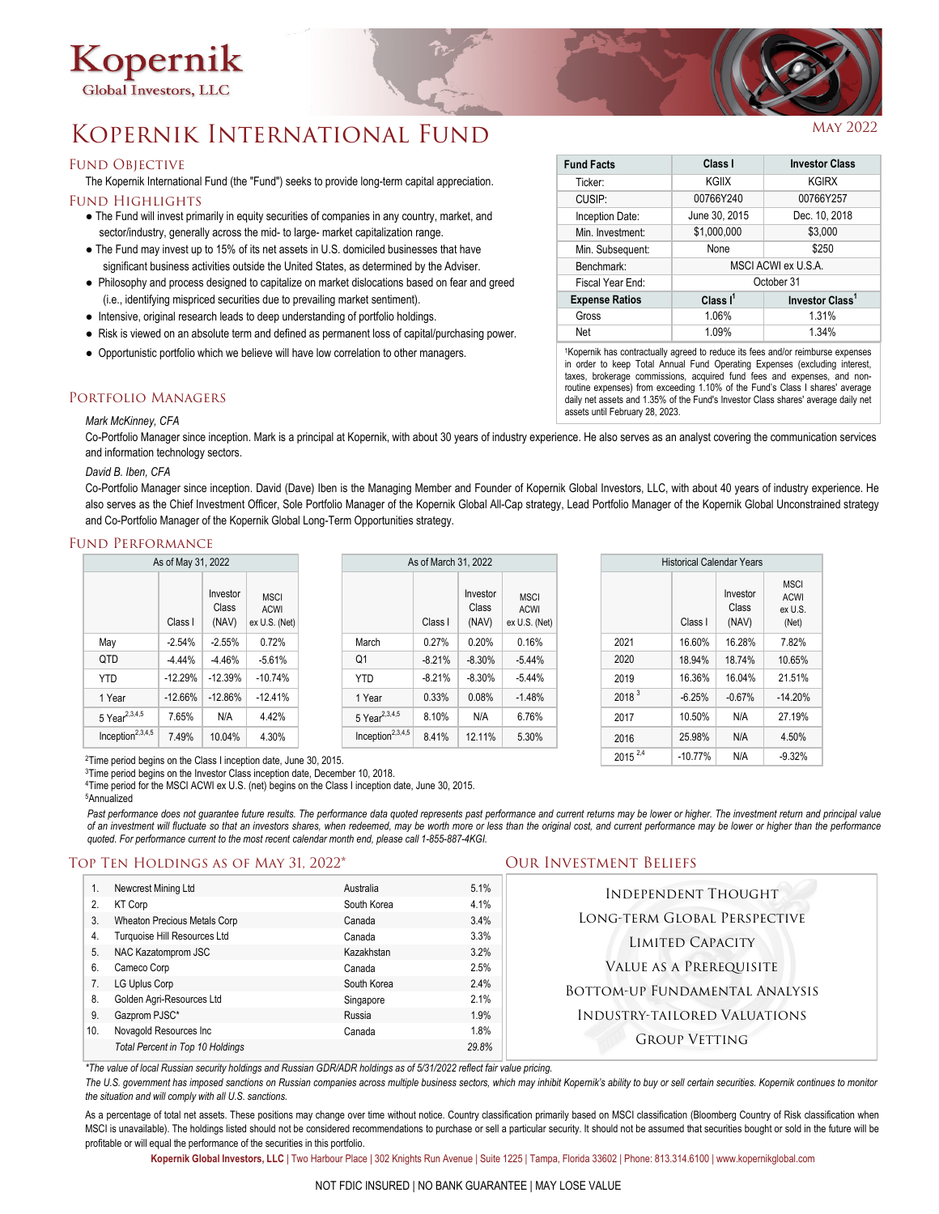

# KOPERNIK INTERNATIONAL FUND

## **FUND OBJECTIVE**

The Kopernik International Fund (the "Fund") seeks to provide long-term capital appreciation. FUND HIGHLIGHTS

- The Fund will invest primarily in equity securities of companies in any country, market, and sector/industry, generally across the mid- to large- market capitalization range.
- The Fund may invest up to 15% of its net assets in U.S. domiciled businesses that have significant business activities outside the United States, as determined by the Adviser.
- Philosophy and process designed to capitalize on market dislocations based on fear and greed (i.e., identifying mispriced securities due to prevailing market sentiment).
- Intensive, original research leads to deep understanding of portfolio holdings.
- Risk is viewed on an absolute term and defined as permanent loss of capital/purchasing power.
- Opportunistic portfolio which we believe will have low correlation to other managers.

## Portfolio Managers

### *Mark McKinney, CFA*

Co-Portfolio Manager since inception. Mark is a principal at Kopernik, with about 30 years of industry experience. He also serves as an analyst covering the communication services and information technology sectors.

## *David B. Iben, CFA*

Co-Portfolio Manager since inception. David (Dave) Iben is the Managing Member and Founder of Kopernik Global Investors, LLC, with about 40 years of industry experience. He also serves as the Chief Investment Officer, Sole Portfolio Manager of the Kopernik Global All-Cap strategy, Lead Portfolio Manager of the Kopernik Global Unconstrained strategy and Co-Portfolio Manager of the Kopernik Global Long-Term Opportunities strategy.

## Fund Performance

| As of May 31, 2022           |           |                            |                                             | As of March 31, 2022         |          |                            |                                             | <b>Historical Calendar Years</b> |          |                            |                                                |
|------------------------------|-----------|----------------------------|---------------------------------------------|------------------------------|----------|----------------------------|---------------------------------------------|----------------------------------|----------|----------------------------|------------------------------------------------|
|                              | Class I   | Investor<br>Class<br>(NAV) | <b>MSCI</b><br><b>ACWI</b><br>ex U.S. (Net) |                              | Class I  | Investor<br>Class<br>(NAV) | <b>MSCI</b><br><b>ACWI</b><br>ex U.S. (Net) |                                  | Class I  | Investor<br>Class<br>(NAV) | <b>MSCI</b><br><b>ACWI</b><br>ex U.S.<br>(Net) |
| May                          | $-2.54%$  | $-2.55%$                   | 0.72%                                       | March                        | 0.27%    | 0.20%                      | 0.16%                                       | 2021                             | 16.60%   | 16.28%                     | 7.82%                                          |
| QTD                          | $-4.44%$  | $-4.46%$                   | $-5.61%$                                    | Q <sub>1</sub>               | $-8.21%$ | $-8.30%$                   | $-5.44%$                                    | 2020                             | 18.94%   | 18.74%                     | 10.65%                                         |
| <b>YTD</b>                   | $-12.29%$ | $-12.39%$                  | $-10.74%$                                   | <b>YTD</b>                   | $-8.21%$ | $-8.30%$                   | $-5.44%$                                    | 2019                             | 16.36%   | 16.04%                     | 21.51%                                         |
| 1 Year                       | $-12.66%$ | $-12.86%$                  | $-12.41%$                                   | I Year                       | 0.33%    | 0.08%                      | $-1.48%$                                    | 2018 <sup>3</sup>                | $-6.25%$ | $-0.67%$                   | $-14.20%$                                      |
| $5$ Year <sup>2,3,4,5</sup>  | 7.65%     | N/A                        | 4.42%                                       | 5 Year <sup>2,3,4,5</sup>    | 8.10%    | N/A                        | 6.76%                                       | 2017                             | 10.50%   | N/A                        | 27.19%                                         |
| Inception <sup>2,3,4,5</sup> | 7.49%     | 10.04%                     | 4.30%                                       | Inception <sup>2,3,4,5</sup> | 8.41%    | 12.11%                     | 5.30%                                       | 2016                             | 25.98%   | N/A                        | 4.50%                                          |
|                              |           |                            |                                             |                              |          |                            |                                             |                                  |          |                            |                                                |

Class I Investor Class (NAV) MSCI ACWI ex U.S. (Net)  $2015^{2,4}$  -10.77% N/A -9.32% **Historical Calendar Years** 

2Time period begins on the Class I inception date, June 30, 2015.

<sup>3</sup>Time period begins on the Investor Class inception date, December 10, 2018.

4 Time period for the MSCI ACWI ex U.S. (net) begins on the Class I inception date, June 30, 2015. 5Annualized

Past performance does not guarantee future results. The performance data quoted represents past performance and current returns may be lower or higher. The investment return and principal value of an investment will fluctuate so that an investors shares, when redeemed, may be worth more or less than the original cost, and current performance may be lower or higher than the performance *quoted. For performance current to the most recent calendar month end, please call 1-855-887-4KGI.*

# Top Ten Holdings as of May 31, 2022\* Our Investment Beliefs

| 2.                            | Newcrest Mining Ltd<br><b>KT Corp</b> | Australia<br>South Korea | 5.1%<br>4.1% | <b>INDEPENDENT THOUGHT</b>          |  |  |
|-------------------------------|---------------------------------------|--------------------------|--------------|-------------------------------------|--|--|
| 3.                            | Wheaton Precious Metals Corp          | Canada                   | 3.4%         | LONG-TERM GLOBAL PERSPECTIVE        |  |  |
| 4.                            | Turquoise Hill Resources Ltd          | Canada                   | 3.3%         | LIMITED CAPACITY                    |  |  |
| 5.                            | NAC Kazatomprom JSC                   | Kazakhstan               | 3.2%         |                                     |  |  |
| 6.                            | Cameco Corp                           | Canada                   | 2.5%         | VALUE AS A PREREQUISITE             |  |  |
|                               | LG Uplus Corp                         | South Korea              | 2.4%         | BOTTOM-UP FUNDAMENTAL ANALYSIS      |  |  |
| 8.                            | Golden Agri-Resources Ltd             | Singapore                | 2.1%         |                                     |  |  |
| 9.                            | Gazprom PJSC*                         | Russia                   | 1.9%         | <b>INDUSTRY-TAILORED VALUATIONS</b> |  |  |
| Novagold Resources Inc<br>10. |                                       | Canada                   | 1.8%         |                                     |  |  |
|                               | Total Percent in Top 10 Holdings      |                          | 29.8%        | <b>GROUP VETTING</b>                |  |  |

*\*The value of local Russian security holdings and Russian GDR/ADR holdings as of 5/31/2022 reflect fair value pricing.* 

The U.S. government has imposed sanctions on Russian companies across multiple business sectors, which may inhibit Kopernik's ability to buy or sell certain securities. Kopernik continues to monitor *the situation and will comply with all U.S. sanctions.*

As a percentage of total net assets. These positions may change over time without notice. Country classification primarily based on MSCI classification (Bloomberg Country of Risk classification when MSCI is unavailable). The holdings listed should not be considered recommendations to purchase or sell a particular security. It should not be assumed that securities bought or sold in the future will be profitable or will equal the performance of the securities in this portfolio.

**Kopernik Global Investors, LLC** | Two Harbour Place | 302 Knights Run Avenue | Suite 1225 | Tampa, Florida 33602 | Phone: 813.314.6100 | www.kopernikglobal.com

| Class I             | <b>Investor Class</b>       |  |  |  |
|---------------------|-----------------------------|--|--|--|
| KGIIX               | <b>KGIRX</b>                |  |  |  |
| 00766Y240           | 00766Y257                   |  |  |  |
| June 30, 2015       | Dec. 10, 2018               |  |  |  |
| \$1,000,000         | \$3,000                     |  |  |  |
| None                | \$250                       |  |  |  |
| MSCI ACWI ex U.S.A. |                             |  |  |  |
| October 31          |                             |  |  |  |
| Class $I^1$         | Investor Class <sup>1</sup> |  |  |  |
| 1.06%               | 1.31%                       |  |  |  |
| 1.09%               | 1.34%                       |  |  |  |
|                     |                             |  |  |  |

1 Kopernik has contractually agreed to reduce its fees and/or reimburse expenses in order to keep Total Annual Fund Operating Expenses (excluding interest, taxes, brokerage commissions, acquired fund fees and expenses, and nonroutine expenses) from exceeding 1.10% of the Fund's Class I shares' average daily net assets and 1.35% of the Fund's Investor Class shares' average daily net assets until February 28, 2023.